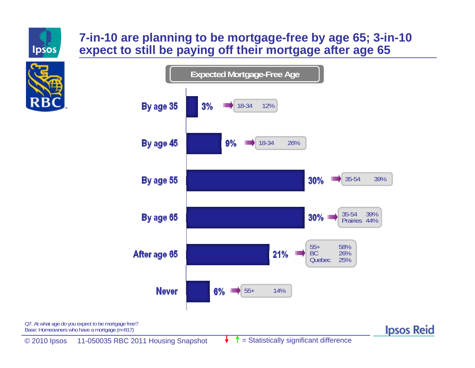

# **7-in-10 are planning to be mortgage-free by age 65; 3-in-10 expect to still be paying off their mortgage after age 65**





**Ipsos Reid** 

Q7. At what age do you expect to be mortgage free? Base: Homeowners who have a mortgage (n=817)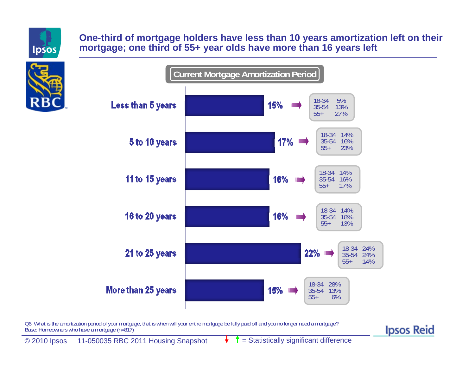

#### **One-third of mortgage holders have less than 10 years amortization left on their mortgage; one third of 55+ year olds have more than 16 years left**



Q6. What is the amortization period of your mortgage, that is when will your entire mortgage be fully paid off and you no longer need a mortgage? Base: Homeowners who have a mortgage (n=817)

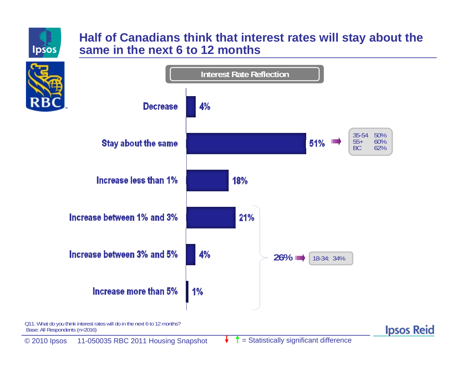

## **Half of Canadians think that interest rates will stay about the same in the next 6 to 12 months**



Q11. What do you think interest rates will do in the next 6 to 12 months? Base: All Respondents (n=2016)

**Ipsos Reid**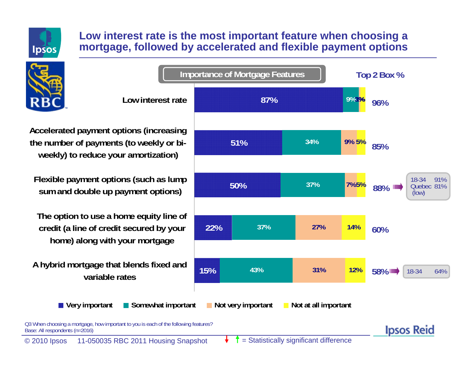

### **Low interest rate is the most important feature when choosing a mortgage, followed by accelerated and flexible payment options**



**Importance of Mortgage Features Top 2 Box % Low interest rate87% 3% 9%1%96%51%34%9%5%85%**18-34 91%**37%50%7%5%** Quebec 81%**88%**(low) **22%37%27%14%60%15%43%31%12%58%**18-34 64%**Very important Somewhat important Not very important Not at all important Ipsos Reid** 

**Accelerated payment options (increasing the number of payments (to weekly or biweekly) to reduce your amortization)**

**Flexible payment options (such as lump sum and double up payment options)**

**The option to use a home equity line of credit (a line of credit secured by your home) along with your mortgage**

**A hybrid mortgage that blends fixed and variable rates**

Q3 When choosing a mortgage, how important to you is each of the following features? Base: All respondents (n=2016)